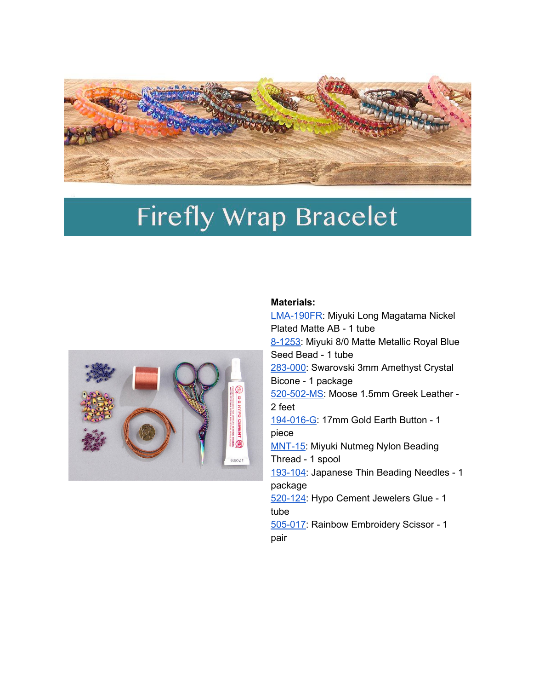

## **Firefly Wrap Bracelet**



## **Materials:**

[LMA-190FR](https://caravanbeads.com/p/30896-LMA-190FR-Miyuki-4x7mm-Long-Magatama-Matte-AB-Nickel-Plated.aspx): Miyuki Long Magatama Nickel Plated Matte AB - 1 tube [8-1253:](https://caravanbeads.com/p/7401-8-1253-8/0-Matte-Met-Royal-Blue-Miyuki-Seed-Bead.aspx) Miyuki 8/0 Matte Metallic Royal Blue Seed Bead - 1 tube [283-000:](https://caravanbeads.com/p/32114-5301-3mm-bicone-Amethyst-36-pcs.aspx) Swarovski 3mm Amethyst Crystal Bicone - 1 package [520-502-MS:](https://caravanbeads.com/520-ms15-1-5mm-moose-greek-leather.aspx) Moose 1.5mm Greek Leather - 2 feet [194-016-G:](https://caravanbeads.com/p/33950-194-016-17mm-Earth-Button-1pc.aspx) 17mm Gold Earth Button - 1 piece [MNT-15:](https://caravanbeads.com/p/25434-MNT-15-Nutmeg-Miyuki-Nylon-Beading-Thread-B-50m-12-bobbins.aspx) Miyuki Nutmeg Nylon Beading Thread - 1 spool [193-104:](https://caravanbeads.com/p/28548-193-104-Japanese-Thin-Beading-Needles-6pc-2-1/8-in-/-0-41-x-5-5cm.aspx) Japanese Thin Beading Needles - 1 package [520-124:](https://caravanbeads.com/p/32148-520-124-Hypo-Cement-Jewelers-Glue.aspx) Hypo Cement Jewelers Glue - 1 tube [505-017:](https://caravanbeads.com/p/32151-505-017-Scissor-Rainbow-Embroidery-4.aspx) Rainbow Embroidery Scissor - 1 pair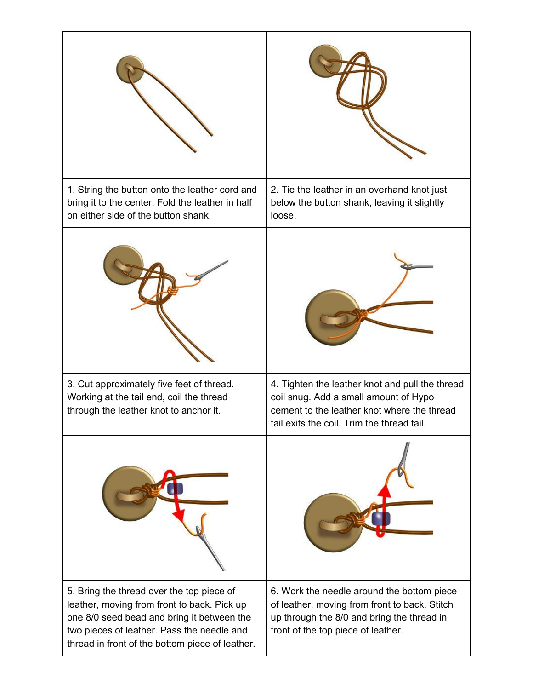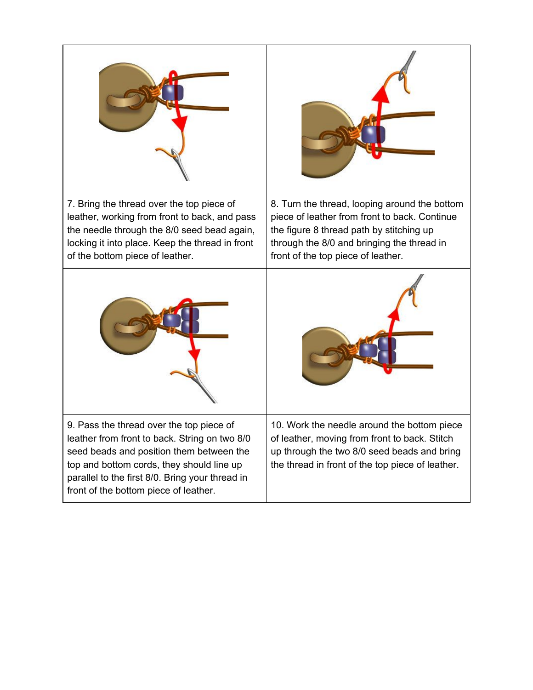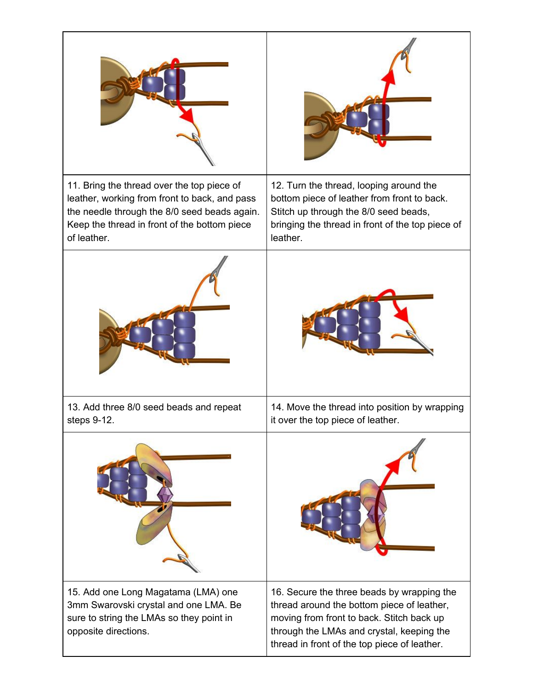| 11. Bring the thread over the top piece of<br>leather, working from front to back, and pass<br>the needle through the 8/0 seed beads again.<br>Keep the thread in front of the bottom piece<br>of leather. | 12. Turn the thread, looping around the<br>bottom piece of leather from front to back.<br>Stitch up through the 8/0 seed beads,<br>bringing the thread in front of the top piece of<br>leather.                                    |
|------------------------------------------------------------------------------------------------------------------------------------------------------------------------------------------------------------|------------------------------------------------------------------------------------------------------------------------------------------------------------------------------------------------------------------------------------|
|                                                                                                                                                                                                            |                                                                                                                                                                                                                                    |
| 13. Add three 8/0 seed beads and repeat<br>steps 9-12.                                                                                                                                                     | 14. Move the thread into position by wrapping<br>it over the top piece of leather.                                                                                                                                                 |
|                                                                                                                                                                                                            |                                                                                                                                                                                                                                    |
| 15. Add one Long Magatama (LMA) one<br>3mm Swarovski crystal and one LMA. Be<br>sure to string the LMAs so they point in<br>opposite directions.                                                           | 16. Secure the three beads by wrapping the<br>thread around the bottom piece of leather,<br>moving from front to back. Stitch back up<br>through the LMAs and crystal, keeping the<br>thread in front of the top piece of leather. |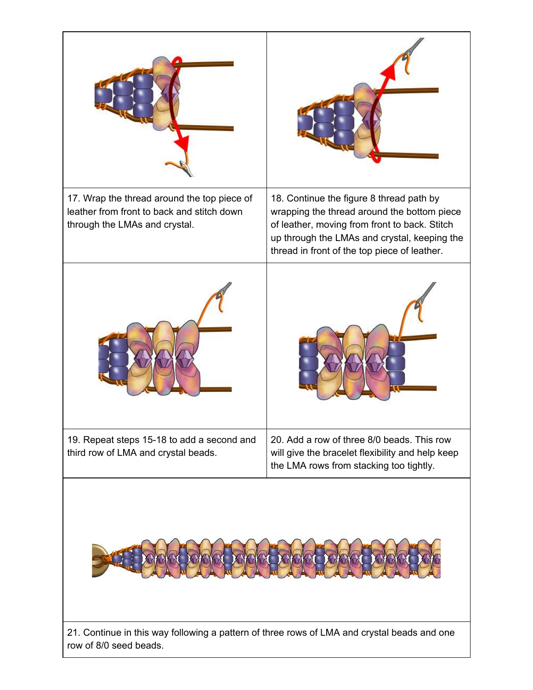| 17. Wrap the thread around the top piece of<br>leather from front to back and stitch down<br>through the LMAs and crystal. | 18. Continue the figure 8 thread path by<br>wrapping the thread around the bottom piece<br>of leather, moving from front to back. Stitch<br>up through the LMAs and crystal, keeping the<br>thread in front of the top piece of leather. |  |
|----------------------------------------------------------------------------------------------------------------------------|------------------------------------------------------------------------------------------------------------------------------------------------------------------------------------------------------------------------------------------|--|
|                                                                                                                            |                                                                                                                                                                                                                                          |  |
| 19. Repeat steps 15-18 to add a second and<br>third row of LMA and crystal beads.                                          | 20. Add a row of three 8/0 beads. This row<br>will give the bracelet flexibility and help keep<br>the LMA rows from stacking too tightly.                                                                                                |  |
| 21. Continue in this way following a pattern of three rows of LMA and crystal beads and one                                |                                                                                                                                                                                                                                          |  |

row of 8/0 seed beads.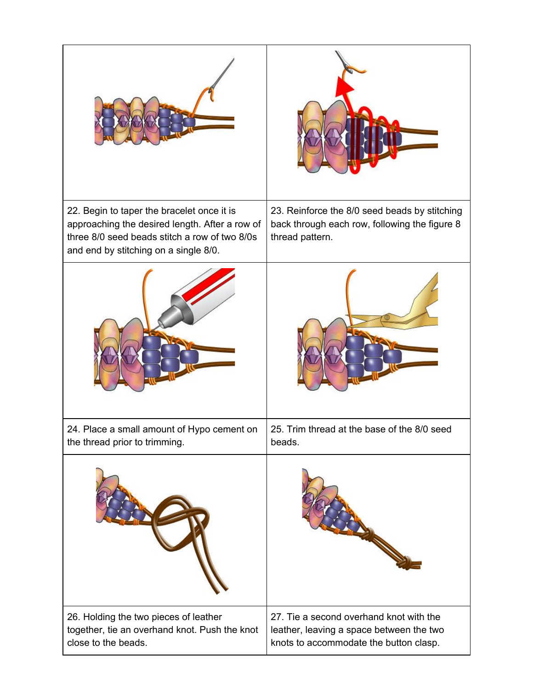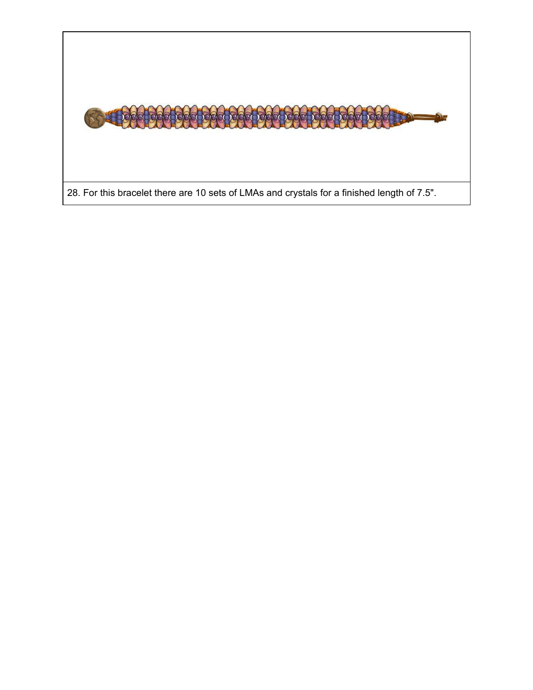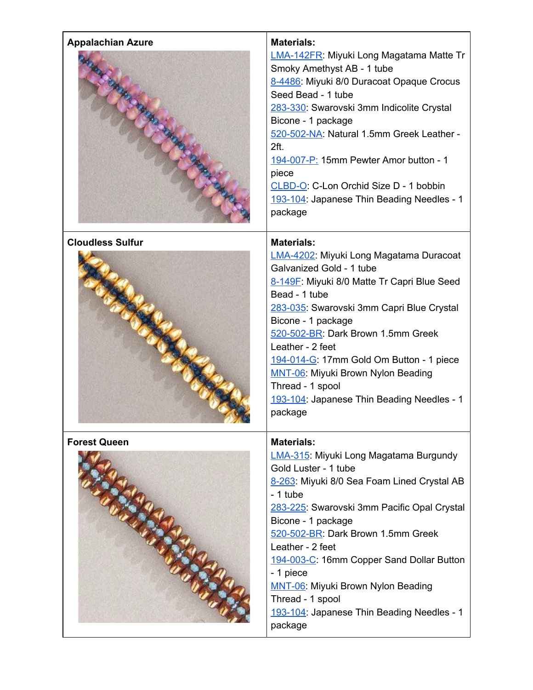| <b>Appalachian Azure</b> | <b>Materials:</b><br>LMA-142FR: Miyuki Long Magatama Matte Tr<br>Smoky Amethyst AB - 1 tube<br>8-4486: Miyuki 8/0 Duracoat Opaque Crocus<br>Seed Bead - 1 tube<br>283-330: Swarovski 3mm Indicolite Crystal<br>Bicone - 1 package<br>520-502-NA: Natural 1.5mm Greek Leather -<br>2ft.<br>194-007-P: 15mm Pewter Amor button - 1<br>piece<br>CLBD-O: C-Lon Orchid Size D - 1 bobbin<br>193-104: Japanese Thin Beading Needles - 1<br>package               |
|--------------------------|------------------------------------------------------------------------------------------------------------------------------------------------------------------------------------------------------------------------------------------------------------------------------------------------------------------------------------------------------------------------------------------------------------------------------------------------------------|
| <b>Cloudless Sulfur</b>  | <b>Materials:</b><br>LMA-4202: Miyuki Long Magatama Duracoat<br>Galvanized Gold - 1 tube<br>8-149F: Miyuki 8/0 Matte Tr Capri Blue Seed<br>Bead - 1 tube<br>283-035: Swarovski 3mm Capri Blue Crystal<br>Bicone - 1 package<br>520-502-BR: Dark Brown 1.5mm Greek<br>Leather - 2 feet<br>194-014-G: 17mm Gold Om Button - 1 piece<br>MNT-06: Miyuki Brown Nylon Beading<br>Thread - 1 spool<br>193-104: Japanese Thin Beading Needles - 1<br>package       |
| <b>Forest Queen</b>      | <b>Materials:</b><br>LMA-315: Miyuki Long Magatama Burgundy<br>Gold Luster - 1 tube<br>8-263: Miyuki 8/0 Sea Foam Lined Crystal AB<br>- 1 tube<br>283-225: Swarovski 3mm Pacific Opal Crystal<br>Bicone - 1 package<br>520-502-BR: Dark Brown 1.5mm Greek<br>Leather - 2 feet<br>194-003-C: 16mm Copper Sand Dollar Button<br>- 1 piece<br>MNT-06: Miyuki Brown Nylon Beading<br>Thread - 1 spool<br>193-104: Japanese Thin Beading Needles - 1<br>package |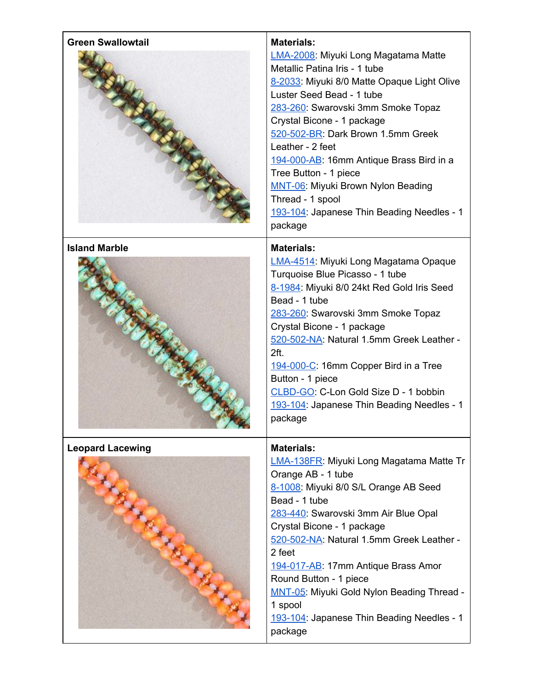| <b>Green Swallowtail</b>                              | <b>Materials:</b><br>LMA-2008: Miyuki Long Magatama Matte<br>Metallic Patina Iris - 1 tube<br>8-2033: Miyuki 8/0 Matte Opaque Light Olive<br>Luster Seed Bead - 1 tube<br>283-260: Swarovski 3mm Smoke Topaz<br>Crystal Bicone - 1 package<br>520-502-BR: Dark Brown 1.5mm Greek<br>Leather - 2 feet<br>194-000-AB: 16mm Antique Brass Bird in a<br>Tree Button - 1 piece<br>MNT-06: Miyuki Brown Nylon Beading<br>Thread - 1 spool<br>193-104: Japanese Thin Beading Needles - 1<br>package |
|-------------------------------------------------------|----------------------------------------------------------------------------------------------------------------------------------------------------------------------------------------------------------------------------------------------------------------------------------------------------------------------------------------------------------------------------------------------------------------------------------------------------------------------------------------------|
| <b>Island Marble</b>                                  | <b>Materials:</b><br>LMA-4514: Miyuki Long Magatama Opaque<br>Turquoise Blue Picasso - 1 tube<br>8-1984: Miyuki 8/0 24kt Red Gold Iris Seed<br>Bead - 1 tube<br>283-260: Swarovski 3mm Smoke Topaz<br>Crystal Bicone - 1 package<br>520-502-NA: Natural 1.5mm Greek Leather -<br>2ft.<br>194-000-C: 16mm Copper Bird in a Tree<br>Button - 1 piece<br>CLBD-GO: C-Lon Gold Size D - 1 bobbin<br>193-104: Japanese Thin Beading Needles - 1<br>package                                         |
| <b>Leopard Lacewing</b><br>R. R. R. R. R. R. R. R. R. | <b>Materials:</b><br>LMA-138FR: Miyuki Long Magatama Matte Tr<br>Orange AB - 1 tube<br>8-1008: Miyuki 8/0 S/L Orange AB Seed<br>Bead - 1 tube<br>283-440: Swarovski 3mm Air Blue Opal<br>Crystal Bicone - 1 package<br>520-502-NA: Natural 1.5mm Greek Leather -<br>2 feet<br>194-017-AB: 17mm Antique Brass Amor<br>Round Button - 1 piece<br>MNT-05: Miyuki Gold Nylon Beading Thread -<br>1 spool<br>193-104: Japanese Thin Beading Needles - 1<br>package                                |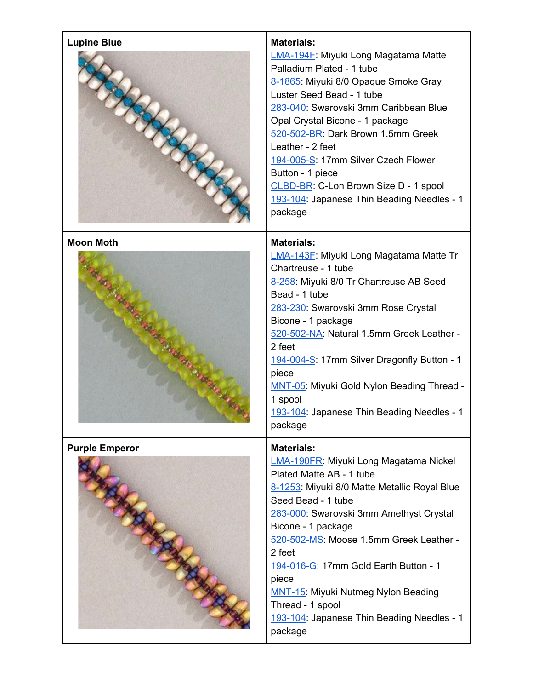| <b>Lupine Blue</b>    | <b>Materials:</b><br>LMA-194F: Miyuki Long Magatama Matte<br>Palladium Plated - 1 tube<br>8-1865: Miyuki 8/0 Opaque Smoke Gray<br>Luster Seed Bead - 1 tube<br>283-040: Swarovski 3mm Caribbean Blue<br>Opal Crystal Bicone - 1 package<br>520-502-BR: Dark Brown 1.5mm Greek<br>Leather - 2 feet<br>194-005-S: 17mm Silver Czech Flower<br>Button - 1 piece<br>CLBD-BR: C-Lon Brown Size D - 1 spool<br>193-104: Japanese Thin Beading Needles - 1<br>package          |
|-----------------------|-------------------------------------------------------------------------------------------------------------------------------------------------------------------------------------------------------------------------------------------------------------------------------------------------------------------------------------------------------------------------------------------------------------------------------------------------------------------------|
| <b>Moon Moth</b>      | <b>Materials:</b><br>LMA-143F: Miyuki Long Magatama Matte Tr<br>Chartreuse - 1 tube<br>8-258: Miyuki 8/0 Tr Chartreuse AB Seed<br>Bead - 1 tube<br>283-230: Swarovski 3mm Rose Crystal<br>Bicone - 1 package<br>520-502-NA: Natural 1.5mm Greek Leather -<br>2 feet<br>194-004-S: 17mm Silver Dragonfly Button - 1<br>piece<br>MNT-05: Miyuki Gold Nylon Beading Thread -<br>1 spool<br>193-104: Japanese Thin Beading Needles - 1<br>package                           |
| <b>Purple Emperor</b> | <b>Materials:</b><br><b>LMA-190FR: Miyuki Long Magatama Nickel</b><br>Plated Matte AB - 1 tube<br>8-1253: Miyuki 8/0 Matte Metallic Royal Blue<br>Seed Bead - 1 tube<br>283-000: Swarovski 3mm Amethyst Crystal<br>Bicone - 1 package<br>520-502-MS: Moose 1.5mm Greek Leather -<br>2 feet<br>194-016-G: 17mm Gold Earth Button - 1<br>piece<br><b>MNT-15: Miyuki Nutmeg Nylon Beading</b><br>Thread - 1 spool<br>193-104: Japanese Thin Beading Needles - 1<br>package |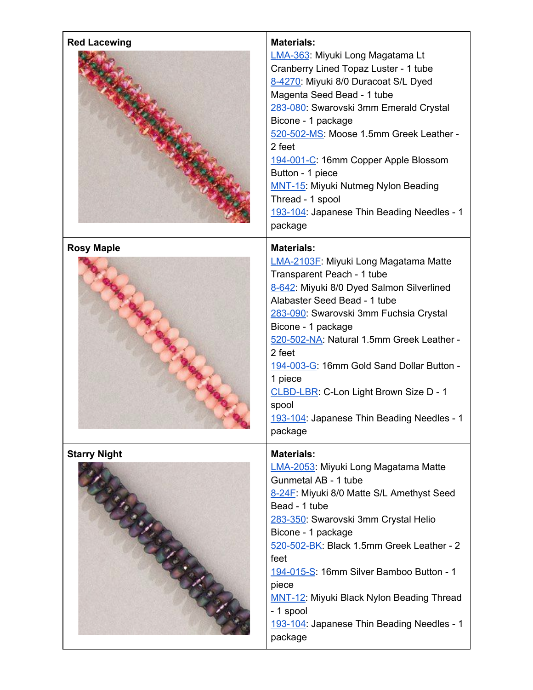| <b>Red Lacewing</b> | <b>Materials:</b>                                                                                                                                                                                                                                                                                                                                                                                                                                           |
|---------------------|-------------------------------------------------------------------------------------------------------------------------------------------------------------------------------------------------------------------------------------------------------------------------------------------------------------------------------------------------------------------------------------------------------------------------------------------------------------|
|                     | LMA-363: Miyuki Long Magatama Lt<br>Cranberry Lined Topaz Luster - 1 tube<br>8-4270: Miyuki 8/0 Duracoat S/L Dyed<br>Magenta Seed Bead - 1 tube<br>283-080: Swarovski 3mm Emerald Crystal<br>Bicone - 1 package<br>520-502-MS: Moose 1.5mm Greek Leather -<br>2 feet<br>194-001-C: 16mm Copper Apple Blossom<br>Button - 1 piece<br><b>MNT-15: Miyuki Nutmeg Nylon Beading</b><br>Thread - 1 spool<br>193-104: Japanese Thin Beading Needles - 1<br>package |
| <b>Rosy Maple</b>   | <b>Materials:</b>                                                                                                                                                                                                                                                                                                                                                                                                                                           |
|                     | LMA-2103F: Miyuki Long Magatama Matte<br>Transparent Peach - 1 tube<br>8-642: Miyuki 8/0 Dyed Salmon Silverlined<br>Alabaster Seed Bead - 1 tube<br>283-090: Swarovski 3mm Fuchsia Crystal<br>Bicone - 1 package<br>520-502-NA: Natural 1.5mm Greek Leather -<br>2 feet<br>194-003-G: 16mm Gold Sand Dollar Button -<br>1 piece<br>CLBD-LBR: C-Lon Light Brown Size D - 1<br>spool<br>193-104: Japanese Thin Beading Needles - 1<br>package                 |
| <b>Starry Night</b> | <b>Materials:</b>                                                                                                                                                                                                                                                                                                                                                                                                                                           |
|                     | LMA-2053: Miyuki Long Magatama Matte<br>Gunmetal AB - 1 tube<br>8-24F: Miyuki 8/0 Matte S/L Amethyst Seed<br>Bead - 1 tube<br>283-350: Swarovski 3mm Crystal Helio<br>Bicone - 1 package<br>520-502-BK: Black 1.5mm Greek Leather - 2<br>feet<br>194-015-S: 16mm Silver Bamboo Button - 1<br>piece<br>MNT-12: Miyuki Black Nylon Beading Thread<br>- 1 spool<br>193-104: Japanese Thin Beading Needles - 1<br>package                                       |